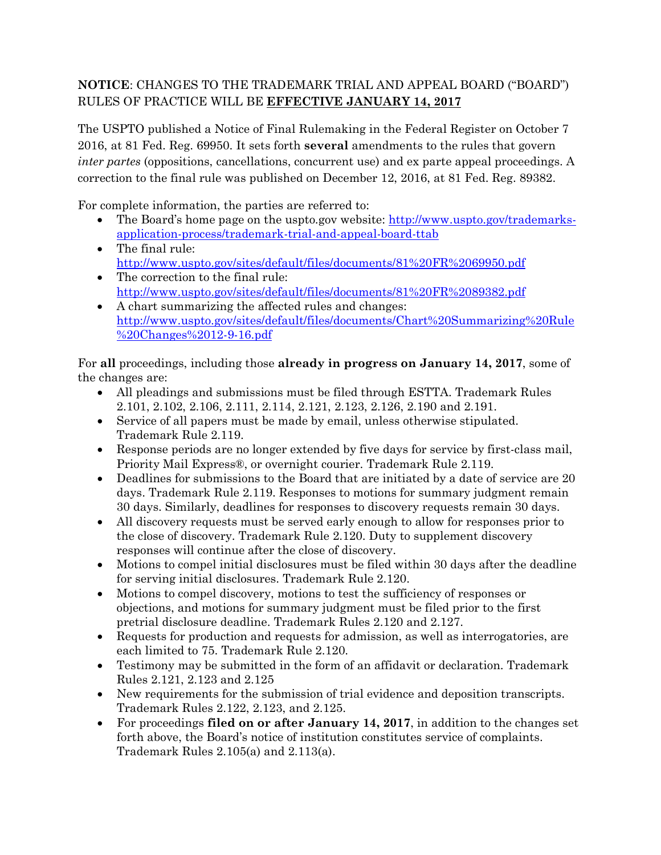## **NOTICE**: CHANGES TO THE TRADEMARK TRIAL AND APPEAL BOARD ("BOARD") RULES OF PRACTICE WILL BE **EFFECTIVE JANUARY 14, 2017**

The USPTO published a Notice of Final Rulemaking in the Federal Register on October 7 2016, at 81 Fed. Reg. 69950. It sets forth **several** amendments to the rules that govern *inter partes* (oppositions, cancellations, concurrent use) and ex parte appeal proceedings. A correction to the final rule was published on December 12, 2016, at 81 Fed. Reg. 89382.

For complete information, the parties are referred to:

- The Board's home page on the uspto.gov website: [http://www.uspto.gov/trademarks](http://www.uspto.gov/trademarks-application-process/trademark-trial-and-appeal-board-ttab)[application-process/trademark-trial-and-appeal-board-ttab](http://www.uspto.gov/trademarks-application-process/trademark-trial-and-appeal-board-ttab)
- The final rule: <http://www.uspto.gov/sites/default/files/documents/81%20FR%2069950.pdf>
- The correction to the final rule: <http://www.uspto.gov/sites/default/files/documents/81%20FR%2089382.pdf>
- A chart summarizing the affected rules and changes: [http://www.uspto.gov/sites/default/files/documents/Chart%20Summarizing%20Rule](http://www.uspto.gov/sites/default/files/documents/Chart%20Summarizing%20Rule%20Changes%2012-9-16.pdf) [%20Changes%2012-9-16.pdf](http://www.uspto.gov/sites/default/files/documents/Chart%20Summarizing%20Rule%20Changes%2012-9-16.pdf)

For **all** proceedings, including those **already in progress on January 14, 2017**, some of the changes are:

- All pleadings and submissions must be filed through ESTTA. Trademark Rules 2.101, 2.102, 2.106, 2.111, 2.114, 2.121, 2.123, 2.126, 2.190 and 2.191.
- Service of all papers must be made by email, unless otherwise stipulated. Trademark Rule 2.119.
- Response periods are no longer extended by five days for service by first-class mail, Priority Mail Express®, or overnight courier. Trademark Rule 2.119.
- Deadlines for submissions to the Board that are initiated by a date of service are 20 days. Trademark Rule 2.119. Responses to motions for summary judgment remain 30 days. Similarly, deadlines for responses to discovery requests remain 30 days.
- All discovery requests must be served early enough to allow for responses prior to the close of discovery. Trademark Rule 2.120. Duty to supplement discovery responses will continue after the close of discovery.
- Motions to compel initial disclosures must be filed within 30 days after the deadline for serving initial disclosures. Trademark Rule 2.120.
- Motions to compel discovery, motions to test the sufficiency of responses or objections, and motions for summary judgment must be filed prior to the first pretrial disclosure deadline. Trademark Rules 2.120 and 2.127.
- Requests for production and requests for admission, as well as interrogatories, are each limited to 75. Trademark Rule 2.120.
- Testimony may be submitted in the form of an affidavit or declaration. Trademark Rules 2.121, 2.123 and 2.125
- New requirements for the submission of trial evidence and deposition transcripts. Trademark Rules 2.122, 2.123, and 2.125.
- For proceedings **filed on or after January 14, 2017**, in addition to the changes set forth above, the Board's notice of institution constitutes service of complaints. Trademark Rules 2.105(a) and 2.113(a).